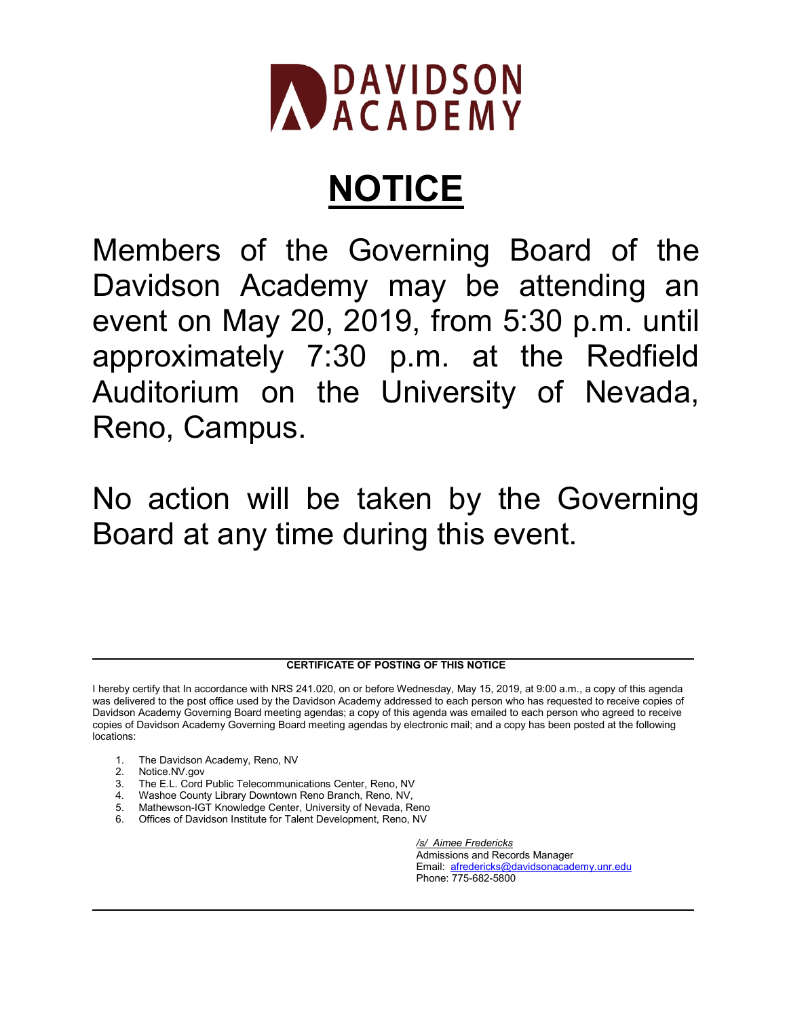

## **NOTICE**

Members of the Governing Board of the Davidson Academy may be attending an event on May 20, 2019, from 5:30 p.m. until approximately 7:30 p.m. at the Redfield Auditorium on the University of Nevada, Reno, Campus.

No action will be taken by the Governing Board at any time during this event.

## **CERTIFICATE OF POSTING OF THIS NOTICE**

- 1. The Davidson Academy, Reno, NV
- 2. Notice.NV.gov
- 3. The E.L. Cord Public Telecommunications Center, Reno, NV
- 4. Washoe County Library Downtown Reno Branch, Reno, NV,
- 5. Mathewson-IGT Knowledge Center, University of Nevada, Reno
- 6. Offices of Davidson Institute for Talent Development, Reno, NV

*/s/ Aimee Fredericks* Admissions and Records Manager Email: [afredericks@davidsonacademy.unr.edu](mailto:afredericks@davidsonacademy.unr.edu) Phone: 775-682-5800

I hereby certify that In accordance with NRS 241.020, on or before Wednesday, May 15, 2019, at 9:00 a.m., a copy of this agenda was delivered to the post office used by the Davidson Academy addressed to each person who has requested to receive copies of Davidson Academy Governing Board meeting agendas; a copy of this agenda was emailed to each person who agreed to receive copies of Davidson Academy Governing Board meeting agendas by electronic mail; and a copy has been posted at the following locations: